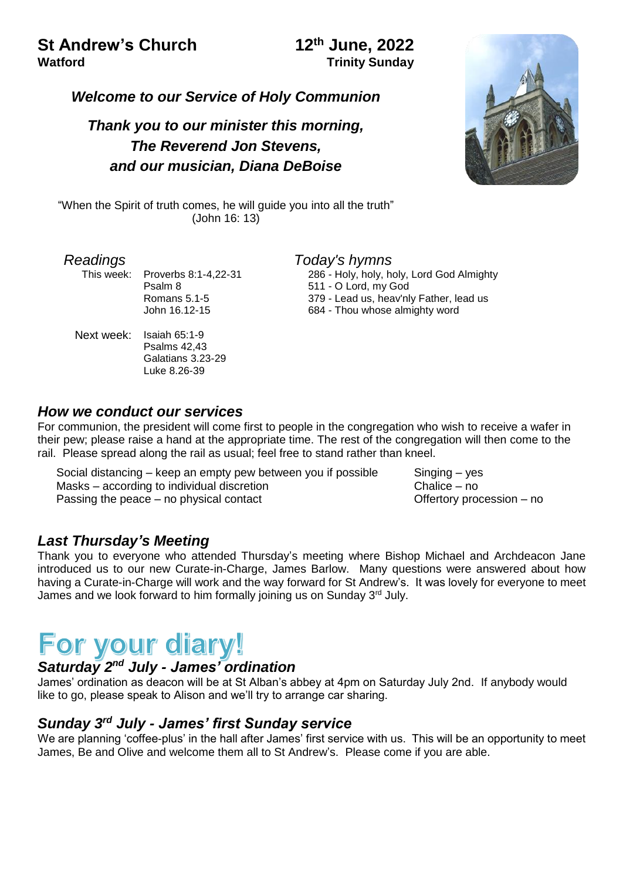## **St Andrew's Church 12th June, 2022 Watford Trinity Sunday**

*Welcome to our Service of Holy Communion*

# *Thank you to our minister this morning, The Reverend Jon Stevens, and our musician, Diana DeBoise*



"When the Spirit of truth comes, he will guide you into all the truth" (John 16: 13)

This week: Proverbs 8:1-4,22-31 Psalm 8 Romans 5.1-5 John 16.12-15

Next week: Isaiah 65:1-9 Psalms 42,43 Galatians 3.23-29 Luke 8.26-39

#### *Readings Today's hymns*

286 - Holy, holy, holy, Lord God Almighty 511 - O Lord, my God 379 - Lead us, heav'nly Father, lead us 684 - Thou whose almighty word

#### *How we conduct our services*

For communion, the president will come first to people in the congregation who wish to receive a wafer in their pew; please raise a hand at the appropriate time. The rest of the congregation will then come to the rail. Please spread along the rail as usual; feel free to stand rather than kneel.

Social distancing – keep an empty pew between you if possible Singing – yes Masks – according to individual discretion example of the Chalice – no Passing the peace – no physical contact Defertory procession – no

## *Last Thursday's Meeting*

Thank you to everyone who attended Thursday's meeting where Bishop Michael and Archdeacon Jane introduced us to our new Curate-in-Charge, James Barlow. Many questions were answered about how having a Curate-in-Charge will work and the way forward for St Andrew's. It was lovely for everyone to meet James and we look forward to him formally joining us on Sunday 3<sup>rd</sup> July.

# *Saturday 2nd July - James' ordination*

James' ordination as deacon will be at St Alban's abbey at 4pm on Saturday July 2nd. If anybody would like to go, please speak to Alison and we'll try to arrange car sharing.

## *Sunday 3rd July - James' first Sunday service*

We are planning 'coffee-plus' in the hall after James' first service with us. This will be an opportunity to meet James, Be and Olive and welcome them all to St Andrew's. Please come if you are able.